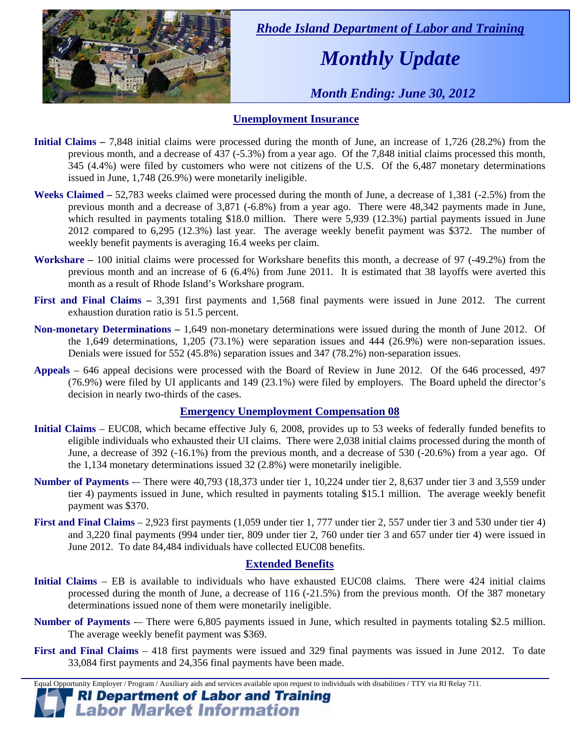

 *Rhode Island Department of Labor and Training* 

# *Monthly Update*

 *Month Ending: June 30, 2012* 

## **Unemployment Insurance**

- **Initial Claims** 7,848 initial claims were processed during the month of June, an increase of 1,726 (28.2%) from the previous month, and a decrease of 437 (-5.3%) from a year ago. Of the 7,848 initial claims processed this month, 345 (4.4%) were filed by customers who were not citizens of the U.S. Of the 6,487 monetary determinations issued in June, 1,748 (26.9%) were monetarily ineligible.
- **Weeks Claimed** 52,783 weeks claimed were processed during the month of June, a decrease of 1,381 (-2.5%) from the previous month and a decrease of 3,871 (-6.8%) from a year ago. There were 48,342 payments made in June, which resulted in payments totaling \$18.0 million. There were 5,939 (12.3%) partial payments issued in June 2012 compared to 6,295 (12.3%) last year. The average weekly benefit payment was \$372. The number of weekly benefit payments is averaging 16.4 weeks per claim.
- **Workshare –** 100 initial claims were processed for Workshare benefits this month, a decrease of 97 (-49.2%) from the previous month and an increase of 6 (6.4%) from June 2011. It is estimated that 38 layoffs were averted this month as a result of Rhode Island's Workshare program.
- **First and Final Claims –** 3,391 first payments and 1,568 final payments were issued in June 2012. The current exhaustion duration ratio is 51.5 percent.
- **Non-monetary Determinations –** 1,649 non-monetary determinations were issued during the month of June 2012. Of the 1,649 determinations, 1,205 (73.1%) were separation issues and 444 (26.9%) were non-separation issues. Denials were issued for 552 (45.8%) separation issues and 347 (78.2%) non-separation issues.
- **Appeals** 646 appeal decisions were processed with the Board of Review in June 2012. Of the 646 processed, 497 (76.9%) were filed by UI applicants and 149 (23.1%) were filed by employers. The Board upheld the director's decision in nearly two-thirds of the cases.

#### **Emergency Unemployment Compensation 08**

- **Initial Claims**  EUC08, which became effective July 6, 2008, provides up to 53 weeks of federally funded benefits to eligible individuals who exhausted their UI claims. There were 2,038 initial claims processed during the month of June, a decrease of 392 (-16.1%) from the previous month, and a decrease of 530 (-20.6%) from a year ago. Of the 1,134 monetary determinations issued 32 (2.8%) were monetarily ineligible.
- **Number of Payments** -– There were 40,793 (18,373 under tier 1, 10,224 under tier 2, 8,637 under tier 3 and 3,559 under tier 4) payments issued in June, which resulted in payments totaling \$15.1 million. The average weekly benefit payment was \$370.
- **First and Final Claims**  2,923 first payments (1,059 under tier 1, 777 under tier 2, 557 under tier 3 and 530 under tier 4) and 3,220 final payments (994 under tier, 809 under tier 2, 760 under tier 3 and 657 under tier 4) were issued in June 2012. To date 84,484 individuals have collected EUC08 benefits.

#### **Extended Benefits**

- **Initial Claims**  EB is available to individuals who have exhausted EUC08 claims. There were 424 initial claims processed during the month of June, a decrease of 116 (-21.5%) from the previous month. Of the 387 monetary determinations issued none of them were monetarily ineligible.
- **Number of Payments** There were 6,805 payments issued in June, which resulted in payments totaling \$2.5 million. The average weekly benefit payment was \$369.
- **First and Final Claims**  418 first payments were issued and 329 final payments was issued in June 2012. To date 33,084 first payments and 24,356 final payments have been made.

Equal Opportunity Employer / Program / Auxiliary aids and services available upon request to individuals with disabilities / TTY via RI Relay 711.

**RI Department of Labor and Training Labor Market Information**